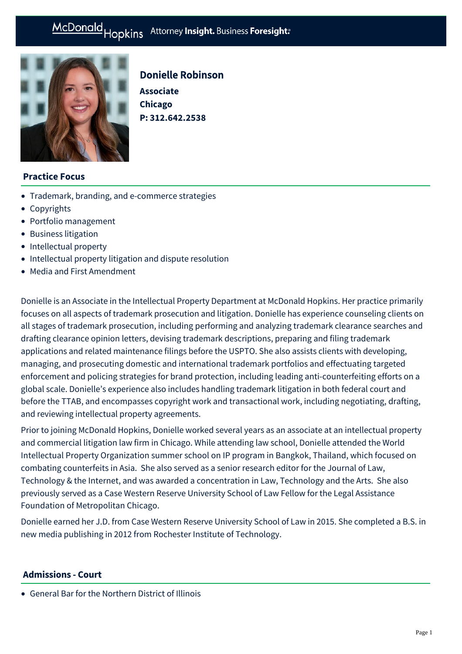# McDonald Hopkins Attorney Insight. Business Foresight:



# Donielle Robinson

**Associate Chicago P: [312.642.2538](tel:312.642.2538)**

### **Practice Focus**

- [Trademark, branding, and e-commerce strategies](https://mcdonaldhopkins.com/Expertise/Intellectual-property/trademark-branding-ecommerce-strategies)
- [Copyrights](https://mcdonaldhopkins.com/Expertise/Intellectual-property/Copyrights)
- [Portfolio management](https://mcdonaldhopkins.com/Expertise/Intellectual-property/Portfolio-management)
- [Business litigation](https://mcdonaldhopkins.com/Expertise/Litigation/Business-litigation)
- [Intellectual property](https://mcdonaldhopkins.com/Expertise/Intellectual-property)
- [Intellectual property litigation and dispute resolution](https://mcdonaldhopkins.com/Expertise/Intellectual-property/Intellectual-property-litigation-and-dispute-resol)
- [Media and First Amendment](https://mcdonaldhopkins.com/Expertise/Intellectual-property/Media-and-First-Amendment)

Donielle is an Associate in the Intellectual Property Department at McDonald Hopkins. Her practice primarily focuses on all aspects of trademark prosecution and litigation. Donielle has experience counseling clients on all stages of trademark prosecution, including performing and analyzing trademark clearance searches and drafting clearance opinion letters, devising trademark descriptions, preparing and filing trademark applications and related maintenance filings before the USPTO. She also assists clients with developing, managing, and prosecuting domestic and international trademark portfolios and effectuating targeted enforcement and policing strategies for brand protection, including leading anti-counterfeiting efforts on a global scale. Donielle's experience also includes handling trademark litigation in both federal court and before the TTAB, and encompasses copyright work and transactional work, including negotiating, drafting, and reviewing intellectual property agreements.

Prior to joining McDonald Hopkins, Donielle worked several years as an associate at an intellectual property and commercial litigation law firm in Chicago. While attending law school, Donielle attended the World Intellectual Property Organization summer school on IP program in Bangkok, Thailand, which focused on combating counterfeits in Asia. She also served as a senior research editor for the Journal of Law, Technology & the Internet, and was awarded a concentration in Law, Technology and the Arts. She also previously served as a Case Western Reserve University School of Law Fellow for the Legal Assistance Foundation of Metropolitan Chicago.

Donielle earned her J.D. from Case Western Reserve University School of Law in 2015. She completed a B.S. in new media publishing in 2012 from Rochester Institute of Technology.

#### **Admissions - Court**

General Bar for the Northern District of Illinois